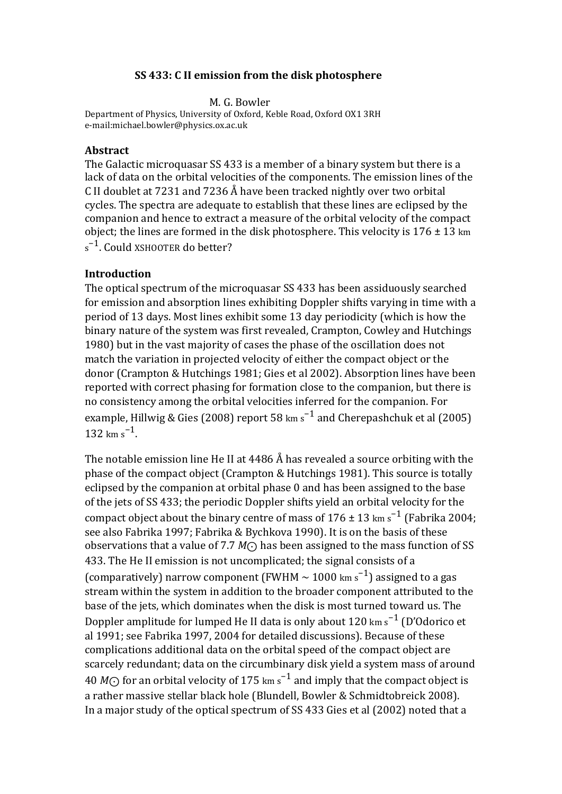# **SS 433: C II emission from the disk photosphere**

M. G. Bowler

Department of Physics, University of Oxford, Keble Road, Oxford OX1 3RH e-mail:michael.bowler@physics.ox.ac.uk

### **Abstract**

The Galactic microquasar SS 433 is a member of a binary system but there is a lack of data on the orbital velocities of the components. The emission lines of the C II doublet at  $7231$  and  $7236\text{ Å}$  have been tracked nightly over two orbital cycles. The spectra are adequate to establish that these lines are eclipsed by the companion and hence to extract a measure of the orbital velocity of the compact object; the lines are formed in the disk photosphere. This velocity is  $176 \pm 13$  km  $\rm s^{-1}$ . Could xSHOOTER do better?

## **Introduction**

The optical spectrum of the microquasar SS 433 has been assiduously searched for emission and absorption lines exhibiting Doppler shifts varying in time with a period of 13 days. Most lines exhibit some 13 day periodicity (which is how the binary nature of the system was first revealed, Crampton, Cowley and Hutchings 1980) but in the vast majority of cases the phase of the oscillation does not match the variation in projected velocity of either the compact object or the donor (Crampton & Hutchings 1981; Gies et al 2002). Absorption lines have been reported with correct phasing for formation close to the companion, but there is no consistency among the orbital velocities inferred for the companion. For example, Hillwig & Gies (2008) report  $58 \text{ km s}^{-1}$  and Cherepashchuk et al (2005)  $132 \text{ km s}^{-1}$ .

The notable emission line He II at  $4486\text{ Å}$  has revealed a source orbiting with the phase of the compact object (Crampton & Hutchings 1981). This source is totally eclipsed by the companion at orbital phase 0 and has been assigned to the base of the jets of SS 433; the periodic Doppler shifts yield an orbital velocity for the compact object about the binary centre of mass of  $176 \pm 13 \text{ km s}^{-1}$  (Fabrika 2004; see also Fabrika 1997; Fabrika & Bychkova 1990). It is on the basis of these observations that a value of 7.7  $M\odot$  has been assigned to the mass function of SS 433. The He II emission is not uncomplicated; the signal consists of a (comparatively) narrow component (FWHM  $\sim 1000 \text{ km s}^{-1}$ ) assigned to a gas stream within the system in addition to the broader component attributed to the base of the jets, which dominates when the disk is most turned toward us. The Doppler amplitude for lumped He II data is only about  $120 \text{ km s}^{-1}$  (D'Odorico et al 1991; see Fabrika 1997, 2004 for detailed discussions). Because of these complications additional data on the orbital speed of the compact object are scarcely redundant; data on the circumbinary disk yield a system mass of around 40 *M* $\odot$  for an orbital velocity of 175 km s<sup>-1</sup> and imply that the compact object is a rather massive stellar black hole (Blundell, Bowler & Schmidtobreick 2008). In a major study of the optical spectrum of SS 433 Gies et al (2002) noted that a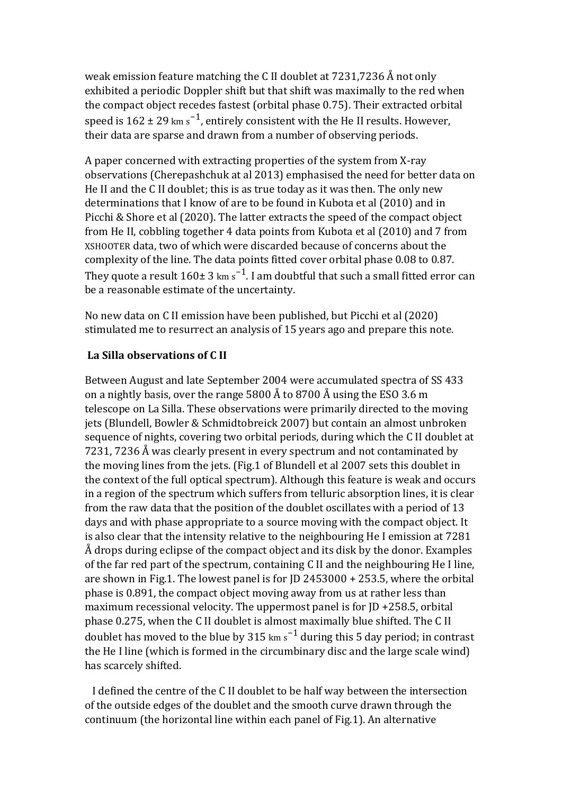weak emission feature matching the C II doublet at  $7231,7236\text{ Å}$  not only exhibited a periodic Doppler shift but that shift was maximally to the red when the compact object recedes fastest (orbital phase 0.75). Their extracted orbital speed is  $162 \pm 29 \text{ km s}^{-1}$ , entirely consistent with the He II results. However, their data are sparse and drawn from a number of observing periods.

A paper concerned with extracting properties of the system from X-ray observations (Cherepashchuk at al 2013) emphasised the need for better data on He II and the C II doublet; this is as true today as it was then. The only new determinations that I know of are to be found in Kubota et al (2010) and in Picchi & Shore et al (2020). The latter extracts the speed of the compact object from He II, cobbling together 4 data points from Kubota et al (2010) and 7 from XSHOOTER data, two of which were discarded because of concerns about the complexity of the line. The data points fitted cover orbital phase 0.08 to 0.87. They quote a result  $160± 3 \text{ km s}^{-1}$ . I am doubtful that such a small fitted error can be a reasonable estimate of the uncertainty.

No new data on C II emission have been published, but Picchi et al (2020) stimulated me to resurrect an analysis of 15 years ago and prepare this note.

# La Silla observations of C II

Between August and late September 2004 were accumulated spectra of SS 433 on a nightly basis, over the range 5800 Å to 8700 Å using the ESO 3.6 m telescope on La Silla. These observations were primarily directed to the moving jets (Blundell, Bowler & Schmidtobreick 2007) but contain an almost unbroken sequence of nights, covering two orbital periods, during which the C II doublet at 7231, 7236 Å was clearly present in every spectrum and not contaminated by the moving lines from the jets. (Fig.1 of Blundell et al 2007 sets this doublet in the context of the full optical spectrum). Although this feature is weak and occurs in a region of the spectrum which suffers from telluric absorption lines, it is clear from the raw data that the position of the doublet oscillates with a period of 13 days and with phase appropriate to a source moving with the compact object. It is also clear that the intensity relative to the neighbouring He I emission at 7281 Å drops during eclipse of the compact object and its disk by the donor. Examples of the far red part of the spectrum, containing C II and the neighbouring He I line, are shown in Fig.1. The lowest panel is for JD 2453000 + 253.5, where the orbital phase is 0.891, the compact object moving away from us at rather less than maximum recessional velocity. The uppermost panel is for  $JD +258.5$ , orbital phase 0.275, when the C II doublet is almost maximally blue shifted. The C II doublet has moved to the blue by  $315 \text{ km s}^{-1}$  during this 5 day period; in contrast the He I line (which is formed in the circumbinary disc and the large scale wind) has scarcely shifted.

I defined the centre of the C II doublet to be half way between the intersection of the outside edges of the doublet and the smooth curve drawn through the continuum (the horizontal line within each panel of Fig.1). An alternative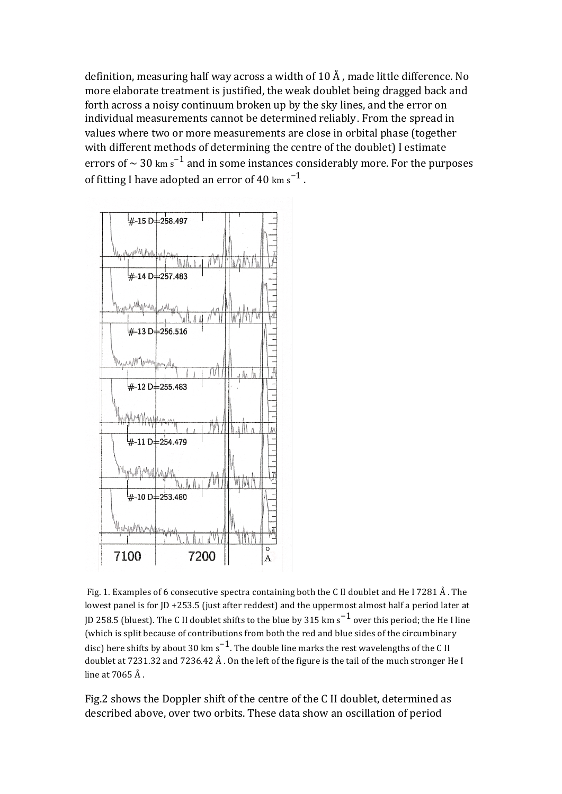definition, measuring half way across a width of 10 Å, made little difference. No more elaborate treatment is justified, the weak doublet being dragged back and forth across a noisy continuum broken up by the sky lines, and the error on individual measurements cannot be determined reliably. From the spread in values where two or more measurements are close in orbital phase (together with different methods of determining the centre of the doublet) I estimate errors of  $\sim 30 \text{ km s}^{-1}$  and in some instances considerably more. For the purposes of fitting I have adopted an error of 40  $km s^{-1}$ .



Fig. 1. Examples of 6 consecutive spectra containing both the C II doublet and He I 7281 Å. The lowest panel is for  $[D + 253.5$  (just after reddest) and the uppermost almost half a period later at ID 258.5 (bluest). The C II doublet shifts to the blue by 315  $km s^{-1}$  over this period; the He I line (which is split because of contributions from both the red and blue sides of the circumbinary disc) here shifts by about 30 km s<sup>-1</sup>. The double line marks the rest wavelengths of the C II doublet at  $7231.32$  and  $7236.42 \text{ Å}$ . On the left of the figure is the tail of the much stronger He I line at  $7065 \text{ Å}$ .

Fig.2 shows the Doppler shift of the centre of the C II doublet, determined as described above, over two orbits. These data show an oscillation of period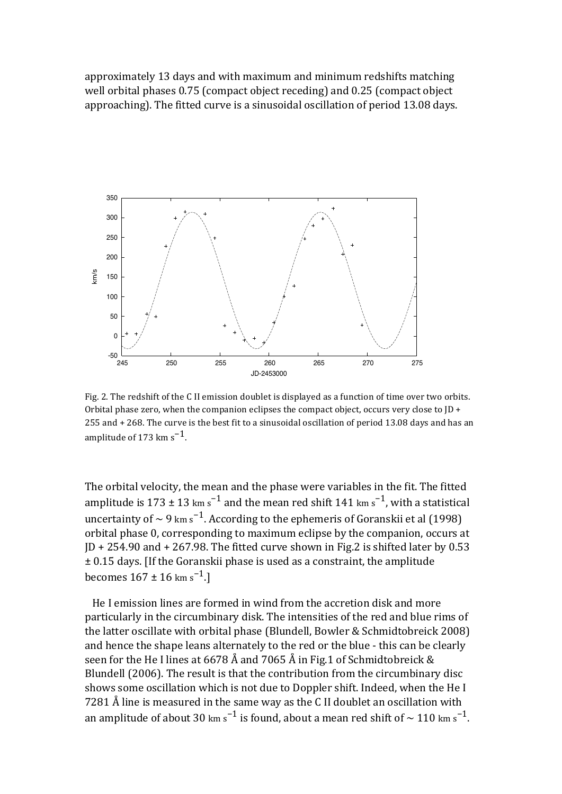approximately 13 days and with maximum and minimum redshifts matching well orbital phases 0.75 (compact object receding) and 0.25 (compact object approaching). The fitted curve is a sinusoidal oscillation of period 13.08 days.



Fig. 2. The redshift of the C II emission doublet is displayed as a function of time over two orbits. Orbital phase zero, when the companion eclipses the compact object, occurs very close to  $D +$  $255$  and  $+ 268$ . The curve is the best fit to a sinusoidal oscillation of period 13.08 days and has an amplitude of 173  $km s<sup>-1</sup>$ .

The orbital velocity, the mean and the phase were variables in the fit. The fitted amplitude is  $173 \pm 13 \text{ km s}^{-1}$  and the mean red shift  $141 \text{ km s}^{-1}$ , with a statistical uncertainty of ~ 9 km s<sup>-1</sup>. According to the ephemeris of Goranskii et al (1998) orbital phase 0, corresponding to maximum eclipse by the companion, occurs at  $JD + 254.90$  and  $+ 267.98$ . The fitted curve shown in Fig.2 is shifted later by 0.53  $\pm$  0.15 days. [If the Goranskii phase is used as a constraint, the amplitude becomes  $167 \pm 16$  km s<sup>-1</sup>.]

He I emission lines are formed in wind from the accretion disk and more particularly in the circumbinary disk. The intensities of the red and blue rims of the latter oscillate with orbital phase (Blundell, Bowler & Schmidtobreick 2008) and hence the shape leans alternately to the red or the blue - this can be clearly seen for the He I lines at 6678 Å and 7065 Å in Fig.1 of Schmidtobreick & Blundell (2006). The result is that the contribution from the circumbinary disc shows some oscillation which is not due to Doppler shift. Indeed, when the He I 7281 Å line is measured in the same way as the C II doublet an oscillation with an amplitude of about 30 km s<sup>-1</sup> is found, about a mean red shift of  $\sim 110 \text{ km s}^{-1}$ .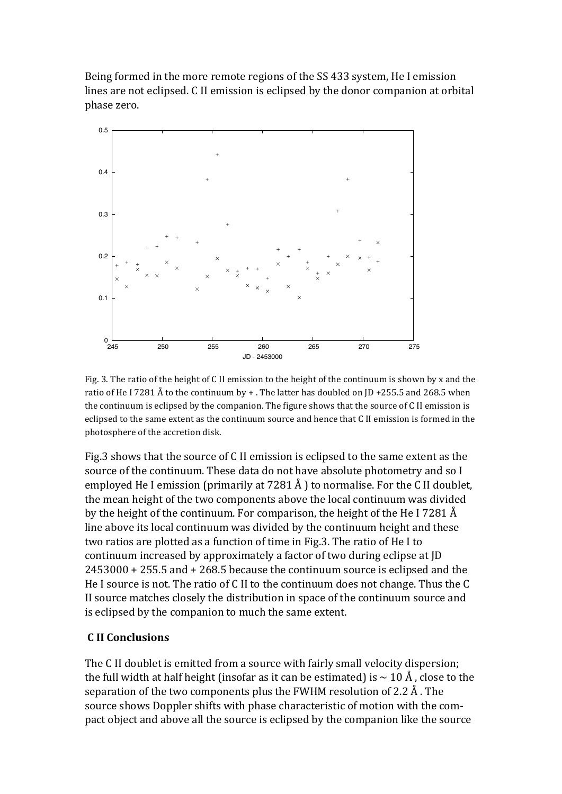Being formed in the more remote regions of the SS 433 system, He I emission lines are not eclipsed. C II emission is eclipsed by the donor companion at orbital phase zero. 



Fig. 3. The ratio of the height of C II emission to the height of the continuum is shown by x and the ratio of He I 7281 Å to the continuum by  $+$ . The latter has doubled on JD +255.5 and 268.5 when the continuum is eclipsed by the companion. The figure shows that the source of C II emission is eclipsed to the same extent as the continuum source and hence that C II emission is formed in the photosphere of the accretion disk.

Fig.3 shows that the source of C II emission is eclipsed to the same extent as the source of the continuum. These data do not have absolute photometry and so I employed He I emission (primarily at  $7281 \text{ Å}$ ) to normalise. For the C II doublet, the mean height of the two components above the local continuum was divided by the height of the continuum. For comparison, the height of the He I 7281  $\AA$ line above its local continuum was divided by the continuum height and these two ratios are plotted as a function of time in Fig.3. The ratio of He I to continuum increased by approximately a factor of two during eclipse at ID  $2453000 + 255.5$  and  $+ 268.5$  because the continuum source is eclipsed and the He I source is not. The ratio of C II to the continuum does not change. Thus the C II source matches closely the distribution in space of the continuum source and is eclipsed by the companion to much the same extent.

## **C** II Conclusions

The C II doublet is emitted from a source with fairly small velocity dispersion; the full width at half height (insofar as it can be estimated) is  $\sim 10 \text{ Å}$  , close to the separation of the two components plus the FWHM resolution of 2.2  $\AA$ . The source shows Doppler shifts with phase characteristic of motion with the compact object and above all the source is eclipsed by the companion like the source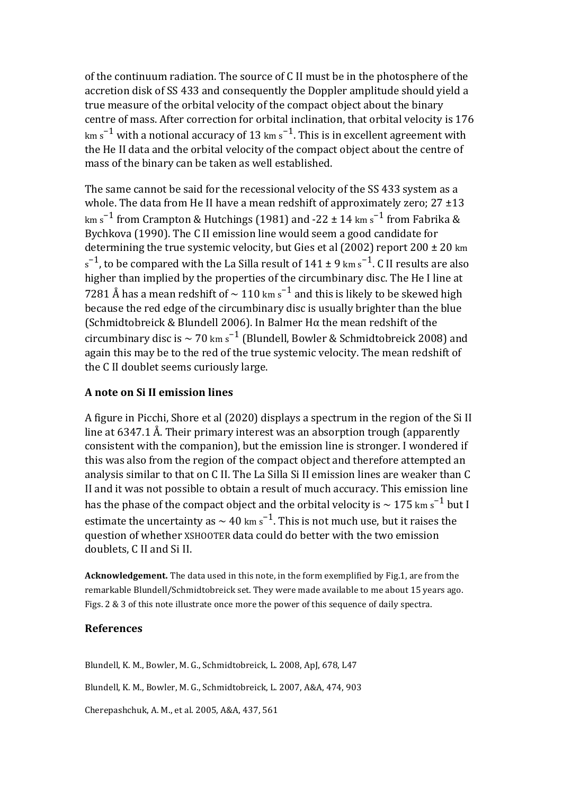of the continuum radiation. The source of C II must be in the photosphere of the accretion disk of SS 433 and consequently the Doppler amplitude should yield a true measure of the orbital velocity of the compact object about the binary centre of mass. After correction for orbital inclination, that orbital velocity is 176  $km s^{-1}$  with a notional accuracy of 13 km s<sup>-1</sup>. This is in excellent agreement with the He II data and the orbital velocity of the compact object about the centre of mass of the binary can be taken as well established.

The same cannot be said for the recessional velocity of the SS 433 system as a whole. The data from He II have a mean redshift of approximately zero;  $27 \pm 13$ km s<sup>-1</sup> from Crampton & Hutchings (1981) and -22  $\pm$  14 km s<sup>-1</sup> from Fabrika & Bychkova (1990). The C II emission line would seem a good candidate for determining the true systemic velocity, but Gies et al (2002) report  $200 \pm 20$  km  $\rm s^{-1}$ , to be compared with the La Silla result of 141 ± 9  $\rm km~s^{-1}$ . C II results are also higher than implied by the properties of the circumbinary disc. The He I line at 7281 Å has a mean redshift of  $\sim 110 \text{ km s}^{-1}$  and this is likely to be skewed high because the red edge of the circumbinary disc is usually brighter than the blue (Schmidtobreick & Blundell 2006). In Balmer H $\alpha$  the mean redshift of the circumbinary disc is  $\sim$  70 km s<sup>-1</sup> (Blundell, Bowler & Schmidtobreick 2008) and again this may be to the red of the true systemic velocity. The mean redshift of the C II doublet seems curiously large.

### **A note on Si II emission lines**

A figure in Picchi, Shore et al (2020) displays a spectrum in the region of the Si II line at  $6347.1\text{ Å}$ . Their primary interest was an absorption trough (apparently consistent with the companion), but the emission line is stronger. I wondered if this was also from the region of the compact object and therefore attempted an analysis similar to that on C II. The La Silla Si II emission lines are weaker than C II and it was not possible to obtain a result of much accuracy. This emission line has the phase of the compact object and the orbital velocity is  $\sim 175 \text{ km s}^{-1}$  but I estimate the uncertainty as  $\sim 40$  km s<sup>-1</sup>. This is not much use, but it raises the question of whether XSHOOTER data could do better with the two emission doublets, C II and Si II.

**Acknowledgement.** The data used in this note, in the form exemplified by Fig.1, are from the remarkable Blundell/Schmidtobreick set. They were made available to me about 15 years ago. Figs.  $2 \& 3$  of this note illustrate once more the power of this sequence of daily spectra.

#### **References**

Blundell, K. M., Bowler, M. G., Schmidtobreick, L. 2008, ApJ, 678, L47

Blundell, K. M., Bowler, M. G., Schmidtobreick, L. 2007, A&A, 474, 903

Cherepashchuk, A. M., et al. 2005, A&A, 437, 561